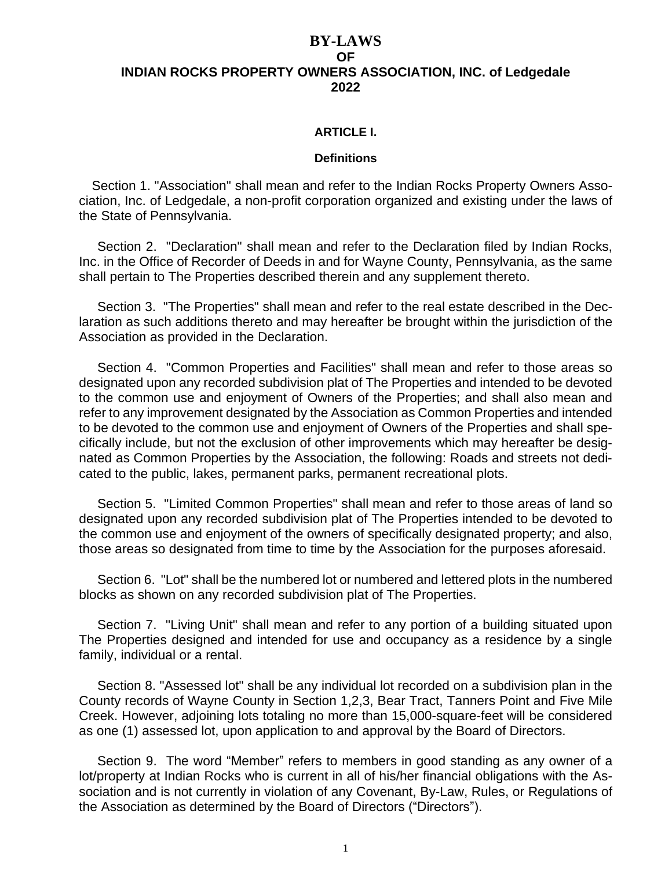#### **BY-LAWS OF INDIAN ROCKS PROPERTY OWNERS ASSOCIATION, INC. of Ledgedale 2022**

#### **ARTICLE I.**

#### **Definitions**

Section 1. "Association" shall mean and refer to the Indian Rocks Property Owners Association, Inc. of Ledgedale, a non-profit corporation organized and existing under the laws of the State of Pennsylvania.

 Section 2. "Declaration" shall mean and refer to the Declaration filed by Indian Rocks, Inc. in the Office of Recorder of Deeds in and for Wayne County, Pennsylvania, as the same shall pertain to The Properties described therein and any supplement thereto.

 Section 3. "The Properties" shall mean and refer to the real estate described in the Declaration as such additions thereto and may hereafter be brought within the jurisdiction of the Association as provided in the Declaration.

Section 4. "Common Properties and Facilities" shall mean and refer to those areas so designated upon any recorded subdivision plat of The Properties and intended to be devoted to the common use and enjoyment of Owners of the Properties; and shall also mean and refer to any improvement designated by the Association as Common Properties and intended to be devoted to the common use and enjoyment of Owners of the Properties and shall specifically include, but not the exclusion of other improvements which may hereafter be designated as Common Properties by the Association, the following: Roads and streets not dedicated to the public, lakes, permanent parks, permanent recreational plots.

 Section 5. "Limited Common Properties" shall mean and refer to those areas of land so designated upon any recorded subdivision plat of The Properties intended to be devoted to the common use and enjoyment of the owners of specifically designated property; and also, those areas so designated from time to time by the Association for the purposes aforesaid.

 Section 6. "Lot" shall be the numbered lot or numbered and lettered plots in the numbered blocks as shown on any recorded subdivision plat of The Properties.

 Section 7. "Living Unit" shall mean and refer to any portion of a building situated upon The Properties designed and intended for use and occupancy as a residence by a single family, individual or a rental.

Section 8. "Assessed lot" shall be any individual lot recorded on a subdivision plan in the County records of Wayne County in Section 1,2,3, Bear Tract, Tanners Point and Five Mile Creek. However, adjoining lots totaling no more than 15,000-square-feet will be considered as one (1) assessed lot, upon application to and approval by the Board of Directors.

 Section 9. The word "Member" refers to members in good standing as any owner of a lot/property at Indian Rocks who is current in all of his/her financial obligations with the Association and is not currently in violation of any Covenant, By-Law, Rules, or Regulations of the Association as determined by the Board of Directors ("Directors").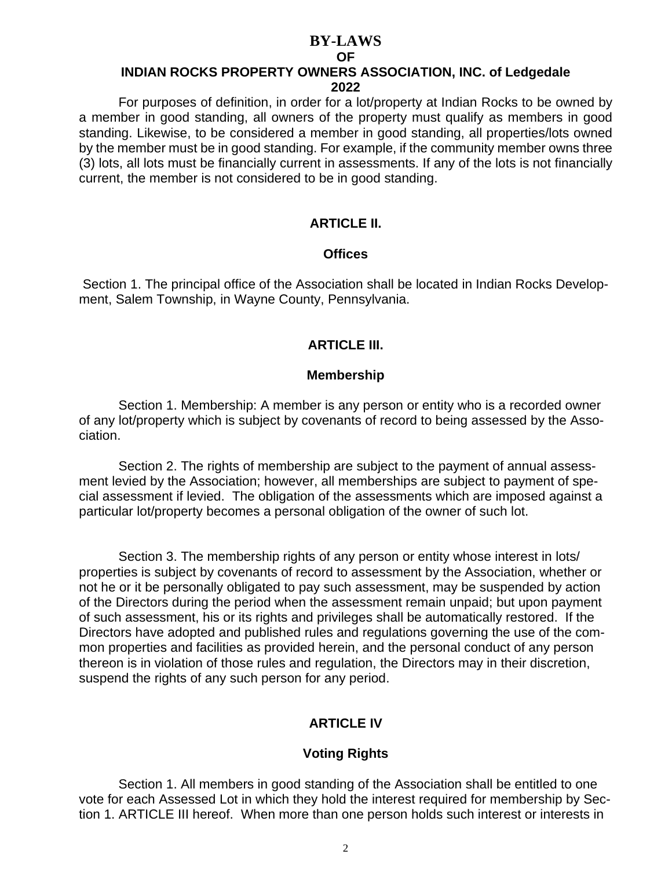#### **OF**

# **INDIAN ROCKS PROPERTY OWNERS ASSOCIATION, INC. of Ledgedale**

**2022**

For purposes of definition, in order for a lot/property at Indian Rocks to be owned by a member in good standing, all owners of the property must qualify as members in good standing. Likewise, to be considered a member in good standing, all properties/lots owned by the member must be in good standing. For example, if the community member owns three (3) lots, all lots must be financially current in assessments. If any of the lots is not financially current, the member is not considered to be in good standing.

# **ARTICLE II.**

#### **Offices**

Section 1. The principal office of the Association shall be located in Indian Rocks Development, Salem Township, in Wayne County, Pennsylvania.

### **ARTICLE III.**

#### **Membership**

Section 1. Membership: A member is any person or entity who is a recorded owner of any lot/property which is subject by covenants of record to being assessed by the Association.

Section 2. The rights of membership are subject to the payment of annual assessment levied by the Association; however, all memberships are subject to payment of special assessment if levied. The obligation of the assessments which are imposed against a particular lot/property becomes a personal obligation of the owner of such lot.

Section 3. The membership rights of any person or entity whose interest in lots/ properties is subject by covenants of record to assessment by the Association, whether or not he or it be personally obligated to pay such assessment, may be suspended by action of the Directors during the period when the assessment remain unpaid; but upon payment of such assessment, his or its rights and privileges shall be automatically restored. If the Directors have adopted and published rules and regulations governing the use of the common properties and facilities as provided herein, and the personal conduct of any person thereon is in violation of those rules and regulation, the Directors may in their discretion, suspend the rights of any such person for any period.

# **ARTICLE IV**

### **Voting Rights**

Section 1. All members in good standing of the Association shall be entitled to one vote for each Assessed Lot in which they hold the interest required for membership by Section 1. ARTICLE III hereof. When more than one person holds such interest or interests in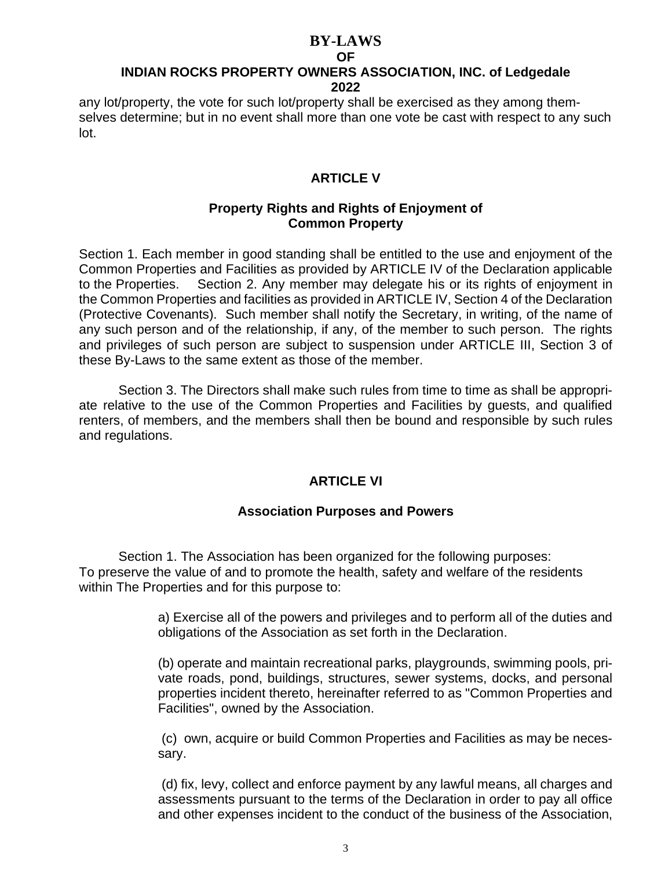#### **OF**

# **INDIAN ROCKS PROPERTY OWNERS ASSOCIATION, INC. of Ledgedale 2022**

any lot/property, the vote for such lot/property shall be exercised as they among themselves determine; but in no event shall more than one vote be cast with respect to any such lot.

# **ARTICLE V**

#### **Property Rights and Rights of Enjoyment of Common Property**

Section 1. Each member in good standing shall be entitled to the use and enjoyment of the Common Properties and Facilities as provided by ARTICLE IV of the Declaration applicable to the Properties. Section 2. Any member may delegate his or its rights of enjoyment in the Common Properties and facilities as provided in ARTICLE IV, Section 4 of the Declaration (Protective Covenants). Such member shall notify the Secretary, in writing, of the name of any such person and of the relationship, if any, of the member to such person. The rights and privileges of such person are subject to suspension under ARTICLE III, Section 3 of these By-Laws to the same extent as those of the member.

Section 3. The Directors shall make such rules from time to time as shall be appropriate relative to the use of the Common Properties and Facilities by guests, and qualified renters, of members, and the members shall then be bound and responsible by such rules and regulations.

### **ARTICLE VI**

### **Association Purposes and Powers**

Section 1. The Association has been organized for the following purposes: To preserve the value of and to promote the health, safety and welfare of the residents within The Properties and for this purpose to:

> a) Exercise all of the powers and privileges and to perform all of the duties and obligations of the Association as set forth in the Declaration.

> (b) operate and maintain recreational parks, playgrounds, swimming pools, private roads, pond, buildings, structures, sewer systems, docks, and personal properties incident thereto, hereinafter referred to as "Common Properties and Facilities", owned by the Association.

> (c) own, acquire or build Common Properties and Facilities as may be necessary.

> (d) fix, levy, collect and enforce payment by any lawful means, all charges and assessments pursuant to the terms of the Declaration in order to pay all office and other expenses incident to the conduct of the business of the Association,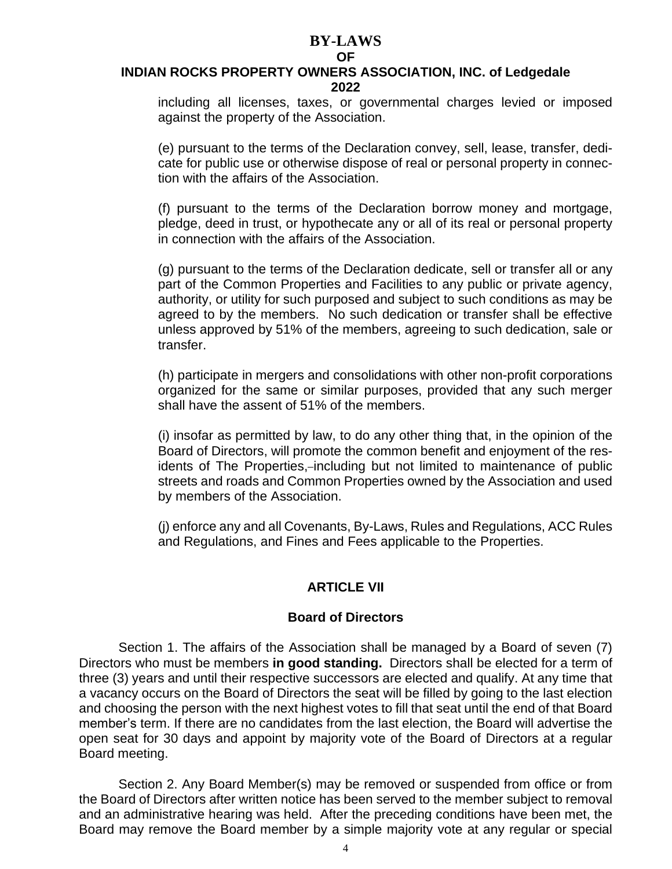#### **OF**

#### **INDIAN ROCKS PROPERTY OWNERS ASSOCIATION, INC. of Ledgedale 2022**

including all licenses, taxes, or governmental charges levied or imposed against the property of the Association.

(e) pursuant to the terms of the Declaration convey, sell, lease, transfer, dedicate for public use or otherwise dispose of real or personal property in connection with the affairs of the Association.

(f) pursuant to the terms of the Declaration borrow money and mortgage, pledge, deed in trust, or hypothecate any or all of its real or personal property in connection with the affairs of the Association.

(g) pursuant to the terms of the Declaration dedicate, sell or transfer all or any part of the Common Properties and Facilities to any public or private agency, authority, or utility for such purposed and subject to such conditions as may be agreed to by the members. No such dedication or transfer shall be effective unless approved by 51% of the members, agreeing to such dedication, sale or transfer.

(h) participate in mergers and consolidations with other non-profit corporations organized for the same or similar purposes, provided that any such merger shall have the assent of 51% of the members.

(i) insofar as permitted by law, to do any other thing that, in the opinion of the Board of Directors, will promote the common benefit and enjoyment of the residents of The Properties,-including but not limited to maintenance of public streets and roads and Common Properties owned by the Association and used by members of the Association.

(j) enforce any and all Covenants, By-Laws, Rules and Regulations, ACC Rules and Regulations, and Fines and Fees applicable to the Properties.

### **ARTICLE VII**

#### **Board of Directors**

Section 1. The affairs of the Association shall be managed by a Board of seven (7) Directors who must be members **in good standing.** Directors shall be elected for a term of three (3) years and until their respective successors are elected and qualify. At any time that a vacancy occurs on the Board of Directors the seat will be filled by going to the last election and choosing the person with the next highest votes to fill that seat until the end of that Board member's term. If there are no candidates from the last election, the Board will advertise the open seat for 30 days and appoint by majority vote of the Board of Directors at a regular Board meeting.

Section 2. Any Board Member(s) may be removed or suspended from office or from the Board of Directors after written notice has been served to the member subject to removal and an administrative hearing was held. After the preceding conditions have been met, the Board may remove the Board member by a simple majority vote at any regular or special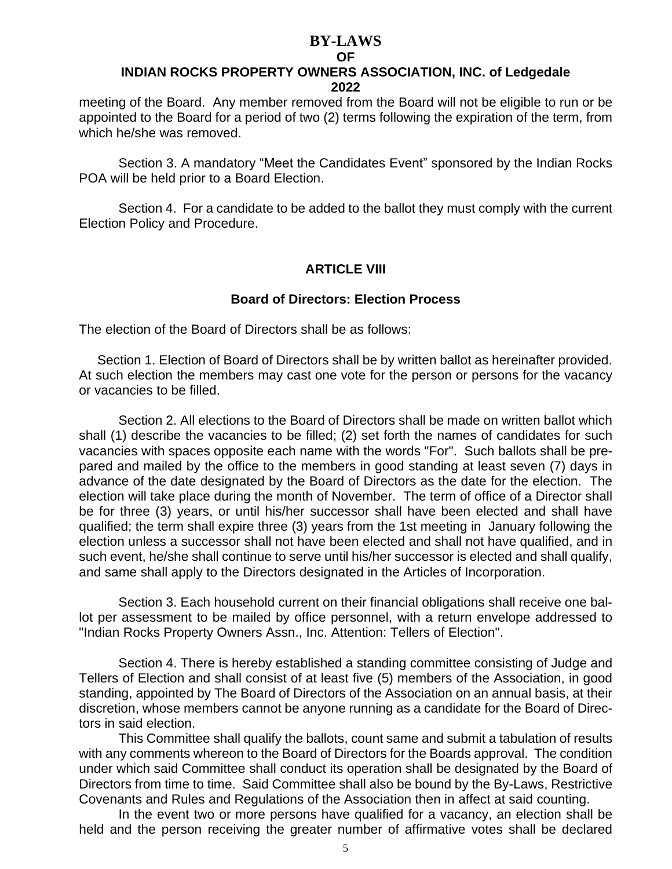#### **OF**

#### **INDIAN ROCKS PROPERTY OWNERS ASSOCIATION, INC. of Ledgedale 2022**

meeting of the Board. Any member removed from the Board will not be eligible to run or be appointed to the Board for a period of two (2) terms following the expiration of the term, from which he/she was removed.

Section 3. A mandatory "Meet the Candidates Event" sponsored by the Indian Rocks POA will be held prior to a Board Election.

Section 4. For a candidate to be added to the ballot they must comply with the current Election Policy and Procedure.

#### **ARTICLE VIII**

#### **Board of Directors: Election Process**

The election of the Board of Directors shall be as follows:

 Section 1. Election of Board of Directors shall be by written ballot as hereinafter provided. At such election the members may cast one vote for the person or persons for the vacancy or vacancies to be filled.

Section 2. All elections to the Board of Directors shall be made on written ballot which shall (1) describe the vacancies to be filled; (2) set forth the names of candidates for such vacancies with spaces opposite each name with the words "For". Such ballots shall be prepared and mailed by the office to the members in good standing at least seven (7) days in advance of the date designated by the Board of Directors as the date for the election. The election will take place during the month of November. The term of office of a Director shall be for three (3) years, or until his/her successor shall have been elected and shall have qualified; the term shall expire three (3) years from the 1st meeting in January following the election unless a successor shall not have been elected and shall not have qualified, and in such event, he/she shall continue to serve until his/her successor is elected and shall qualify, and same shall apply to the Directors designated in the Articles of Incorporation.

Section 3. Each household current on their financial obligations shall receive one ballot per assessment to be mailed by office personnel, with a return envelope addressed to "Indian Rocks Property Owners Assn., Inc. Attention: Tellers of Election".

Section 4. There is hereby established a standing committee consisting of Judge and Tellers of Election and shall consist of at least five (5) members of the Association, in good standing, appointed by The Board of Directors of the Association on an annual basis, at their discretion, whose members cannot be anyone running as a candidate for the Board of Directors in said election.

This Committee shall qualify the ballots, count same and submit a tabulation of results with any comments whereon to the Board of Directors for the Boards approval. The condition under which said Committee shall conduct its operation shall be designated by the Board of Directors from time to time. Said Committee shall also be bound by the By-Laws, Restrictive Covenants and Rules and Regulations of the Association then in affect at said counting.

In the event two or more persons have qualified for a vacancy, an election shall be held and the person receiving the greater number of affirmative votes shall be declared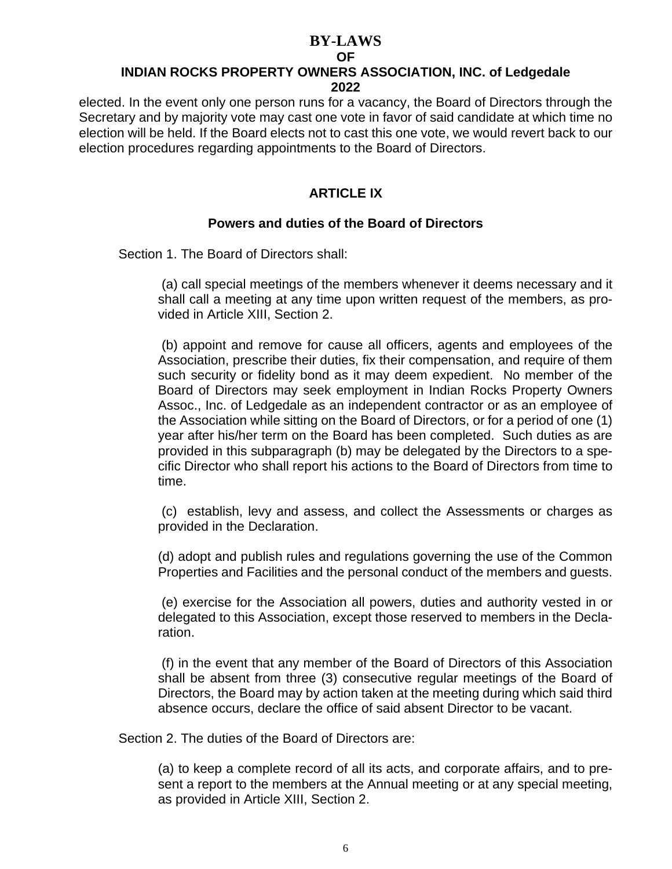#### **BY-LAWS OF**

# **INDIAN ROCKS PROPERTY OWNERS ASSOCIATION, INC. of Ledgedale 2022**

elected. In the event only one person runs for a vacancy, the Board of Directors through the Secretary and by majority vote may cast one vote in favor of said candidate at which time no election will be held. If the Board elects not to cast this one vote, we would revert back to our election procedures regarding appointments to the Board of Directors.

# **ARTICLE IX**

# **Powers and duties of the Board of Directors**

Section 1. The Board of Directors shall:

(a) call special meetings of the members whenever it deems necessary and it shall call a meeting at any time upon written request of the members, as provided in Article XIII, Section 2.

(b) appoint and remove for cause all officers, agents and employees of the Association, prescribe their duties, fix their compensation, and require of them such security or fidelity bond as it may deem expedient. No member of the Board of Directors may seek employment in Indian Rocks Property Owners Assoc., Inc. of Ledgedale as an independent contractor or as an employee of the Association while sitting on the Board of Directors, or for a period of one (1) year after his/her term on the Board has been completed. Such duties as are provided in this subparagraph (b) may be delegated by the Directors to a specific Director who shall report his actions to the Board of Directors from time to time.

(c) establish, levy and assess, and collect the Assessments or charges as provided in the Declaration.

(d) adopt and publish rules and regulations governing the use of the Common Properties and Facilities and the personal conduct of the members and guests.

(e) exercise for the Association all powers, duties and authority vested in or delegated to this Association, except those reserved to members in the Declaration.

(f) in the event that any member of the Board of Directors of this Association shall be absent from three (3) consecutive regular meetings of the Board of Directors, the Board may by action taken at the meeting during which said third absence occurs, declare the office of said absent Director to be vacant.

Section 2. The duties of the Board of Directors are:

(a) to keep a complete record of all its acts, and corporate affairs, and to present a report to the members at the Annual meeting or at any special meeting, as provided in Article XIII, Section 2.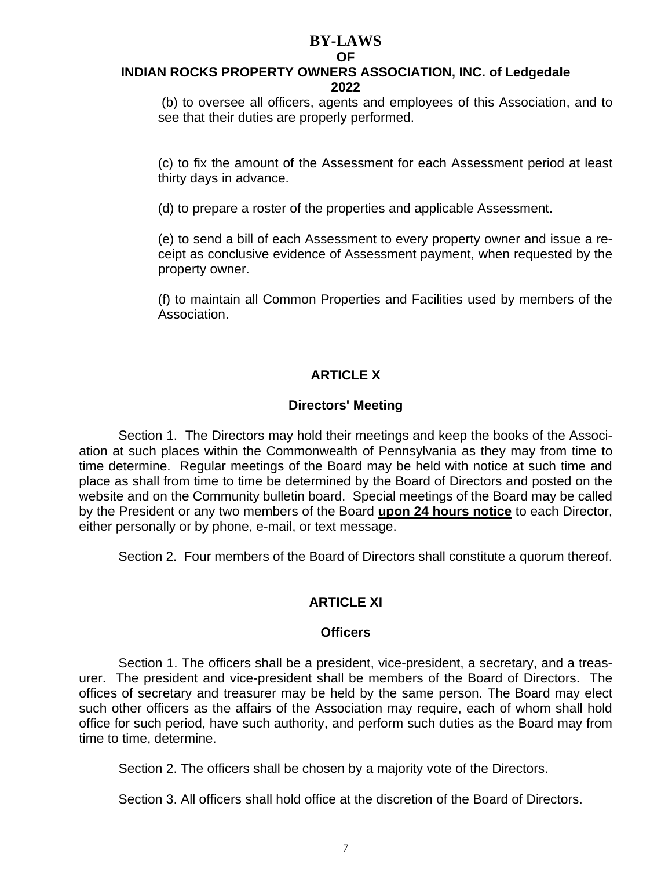#### **BY-LAWS OF**

#### **INDIAN ROCKS PROPERTY OWNERS ASSOCIATION, INC. of Ledgedale 2022**

(b) to oversee all officers, agents and employees of this Association, and to see that their duties are properly performed.

(c) to fix the amount of the Assessment for each Assessment period at least thirty days in advance.

(d) to prepare a roster of the properties and applicable Assessment.

(e) to send a bill of each Assessment to every property owner and issue a receipt as conclusive evidence of Assessment payment, when requested by the property owner.

(f) to maintain all Common Properties and Facilities used by members of the Association.

# **ARTICLE X**

### **Directors' Meeting**

Section 1. The Directors may hold their meetings and keep the books of the Association at such places within the Commonwealth of Pennsylvania as they may from time to time determine. Regular meetings of the Board may be held with notice at such time and place as shall from time to time be determined by the Board of Directors and posted on the website and on the Community bulletin board. Special meetings of the Board may be called by the President or any two members of the Board **upon 24 hours notice** to each Director, either personally or by phone, e-mail, or text message.

Section 2. Four members of the Board of Directors shall constitute a quorum thereof.

# **ARTICLE XI**

#### **Officers**

Section 1. The officers shall be a president, vice-president, a secretary, and a treasurer. The president and vice-president shall be members of the Board of Directors. The offices of secretary and treasurer may be held by the same person. The Board may elect such other officers as the affairs of the Association may require, each of whom shall hold office for such period, have such authority, and perform such duties as the Board may from time to time, determine.

Section 2. The officers shall be chosen by a majority vote of the Directors.

Section 3. All officers shall hold office at the discretion of the Board of Directors.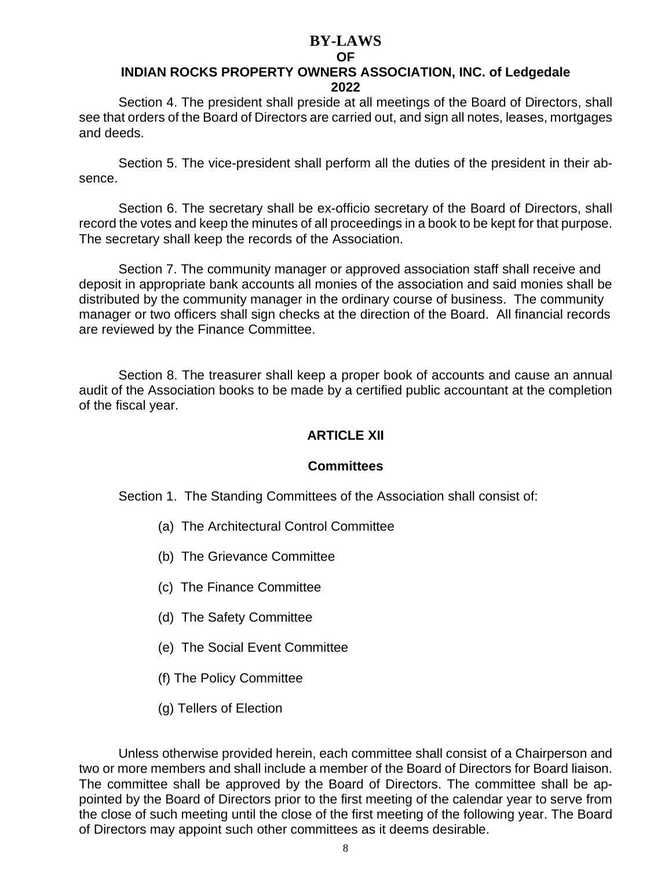# **OF**

### **INDIAN ROCKS PROPERTY OWNERS ASSOCIATION, INC. of Ledgedale 2022**

Section 4. The president shall preside at all meetings of the Board of Directors, shall see that orders of the Board of Directors are carried out, and sign all notes, leases, mortgages and deeds.

Section 5. The vice-president shall perform all the duties of the president in their absence.

Section 6. The secretary shall be ex-officio secretary of the Board of Directors, shall record the votes and keep the minutes of all proceedings in a book to be kept for that purpose. The secretary shall keep the records of the Association.

Section 7. The community manager or approved association staff shall receive and deposit in appropriate bank accounts all monies of the association and said monies shall be distributed by the community manager in the ordinary course of business. The community manager or two officers shall sign checks at the direction of the Board. All financial records are reviewed by the Finance Committee.

Section 8. The treasurer shall keep a proper book of accounts and cause an annual audit of the Association books to be made by a certified public accountant at the completion of the fiscal year.

### **ARTICLE XII**

#### **Committees**

Section 1. The Standing Committees of the Association shall consist of:

- (a) The Architectural Control Committee
- (b) The Grievance Committee
- (c) The Finance Committee
- (d) The Safety Committee
- (e) The Social Event Committee
- (f) The Policy Committee
- (g) Tellers of Election

Unless otherwise provided herein, each committee shall consist of a Chairperson and two or more members and shall include a member of the Board of Directors for Board liaison. The committee shall be approved by the Board of Directors. The committee shall be appointed by the Board of Directors prior to the first meeting of the calendar year to serve from the close of such meeting until the close of the first meeting of the following year. The Board of Directors may appoint such other committees as it deems desirable.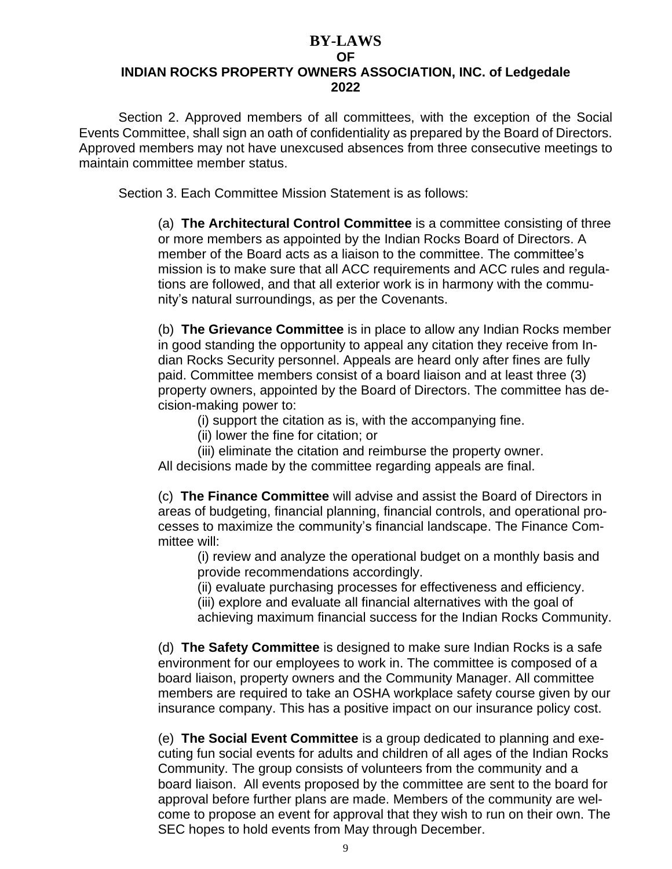# **BY-LAWS OF INDIAN ROCKS PROPERTY OWNERS ASSOCIATION, INC. of Ledgedale 2022**

Section 2. Approved members of all committees, with the exception of the Social Events Committee, shall sign an oath of confidentiality as prepared by the Board of Directors. Approved members may not have unexcused absences from three consecutive meetings to maintain committee member status.

Section 3. Each Committee Mission Statement is as follows:

(a) **The Architectural Control Committee** is a committee consisting of three or more members as appointed by the Indian Rocks Board of Directors. A member of the Board acts as a liaison to the committee. The committee's mission is to make sure that all ACC requirements and ACC rules and regulations are followed, and that all exterior work is in harmony with the community's natural surroundings, as per the Covenants.

(b) **The Grievance Committee** is in place to allow any Indian Rocks member in good standing the opportunity to appeal any citation they receive from Indian Rocks Security personnel. Appeals are heard only after fines are fully paid. Committee members consist of a board liaison and at least three (3) property owners, appointed by the Board of Directors. The committee has decision-making power to:

(i) support the citation as is, with the accompanying fine.

(ii) lower the fine for citation; or

(iii) eliminate the citation and reimburse the property owner.

All decisions made by the committee regarding appeals are final.

(c) **The Finance Committee** will advise and assist the Board of Directors in areas of budgeting, financial planning, financial controls, and operational processes to maximize the community's financial landscape. The Finance Committee will:

(i) review and analyze the operational budget on a monthly basis and provide recommendations accordingly.

(ii) evaluate purchasing processes for effectiveness and efficiency.

(iii) explore and evaluate all financial alternatives with the goal of

achieving maximum financial success for the Indian Rocks Community.

(d) **The Safety Committee** is designed to make sure Indian Rocks is a safe environment for our employees to work in. The committee is composed of a board liaison, property owners and the Community Manager. All committee members are required to take an OSHA workplace safety course given by our insurance company. This has a positive impact on our insurance policy cost.

(e) **The Social Event Committee** is a group dedicated to planning and executing fun social events for adults and children of all ages of the Indian Rocks Community. The group consists of volunteers from the community and a board liaison. All events proposed by the committee are sent to the board for approval before further plans are made. Members of the community are welcome to propose an event for approval that they wish to run on their own. The SEC hopes to hold events from May through December.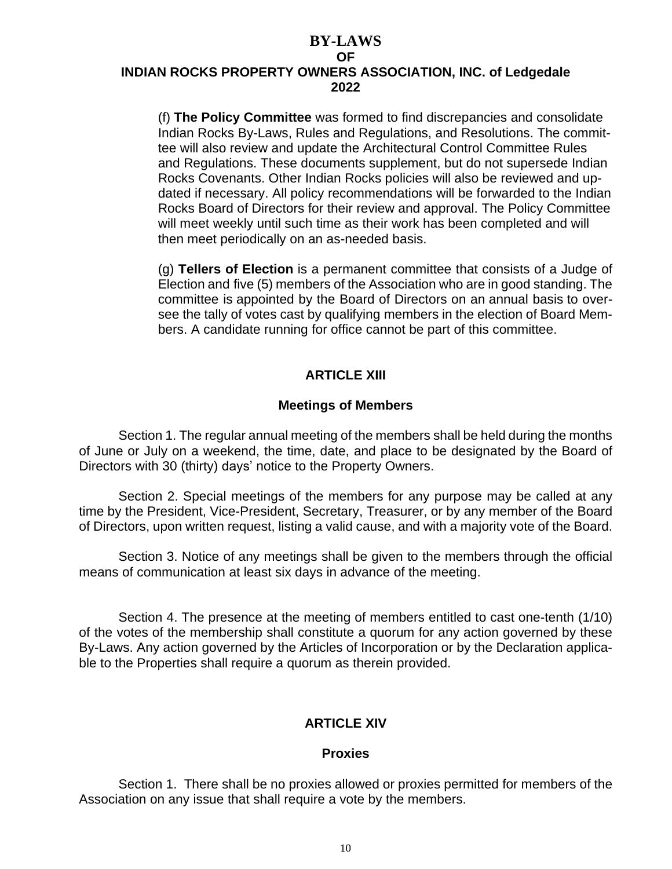# **BY-LAWS OF INDIAN ROCKS PROPERTY OWNERS ASSOCIATION, INC. of Ledgedale 2022**

(f) **The Policy Committee** was formed to find discrepancies and consolidate Indian Rocks By-Laws, Rules and Regulations, and Resolutions. The committee will also review and update the Architectural Control Committee Rules and Regulations. These documents supplement, but do not supersede Indian Rocks Covenants. Other Indian Rocks policies will also be reviewed and updated if necessary. All policy recommendations will be forwarded to the Indian Rocks Board of Directors for their review and approval. The Policy Committee will meet weekly until such time as their work has been completed and will then meet periodically on an as-needed basis.

(g) **Tellers of Election** is a permanent committee that consists of a Judge of Election and five (5) members of the Association who are in good standing. The committee is appointed by the Board of Directors on an annual basis to oversee the tally of votes cast by qualifying members in the election of Board Members. A candidate running for office cannot be part of this committee.

### **ARTICLE XIII**

### **Meetings of Members**

Section 1. The regular annual meeting of the members shall be held during the months of June or July on a weekend, the time, date, and place to be designated by the Board of Directors with 30 (thirty) days' notice to the Property Owners.

Section 2. Special meetings of the members for any purpose may be called at any time by the President, Vice-President, Secretary, Treasurer, or by any member of the Board of Directors, upon written request, listing a valid cause, and with a majority vote of the Board.

Section 3. Notice of any meetings shall be given to the members through the official means of communication at least six days in advance of the meeting.

Section 4. The presence at the meeting of members entitled to cast one-tenth (1/10) of the votes of the membership shall constitute a quorum for any action governed by these By-Laws. Any action governed by the Articles of Incorporation or by the Declaration applicable to the Properties shall require a quorum as therein provided.

# **ARTICLE XIV**

### **Proxies**

Section 1. There shall be no proxies allowed or proxies permitted for members of the Association on any issue that shall require a vote by the members.